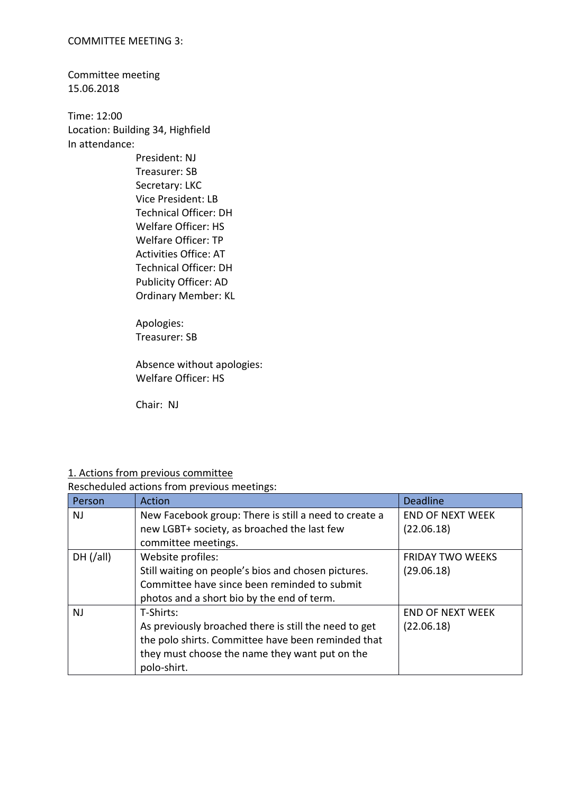#### COMMITTEE MEETING 3:

Committee meeting 15.06.2018

Time: 12:00 Location: Building 34, Highfield In attendance:

> President: NJ Treasurer: SB Secretary: LKC Vice President: LB Technical Officer: DH Welfare Officer: HS Welfare Officer: TP Activities Office: AT Technical Officer: DH Publicity Officer: AD Ordinary Member: KL

Apologies: Treasurer: SB

Absence without apologies: Welfare Officer: HS

Chair: NJ

### 1. Actions from previous committee

Rescheduled actions from previous meetings:

| Person    | Action                                                | <b>Deadline</b>         |
|-----------|-------------------------------------------------------|-------------------------|
| <b>NJ</b> | New Facebook group: There is still a need to create a | <b>END OF NEXT WEEK</b> |
|           | new LGBT+ society, as broached the last few           | (22.06.18)              |
|           | committee meetings.                                   |                         |
| DH (/all) | Website profiles:                                     | <b>FRIDAY TWO WEEKS</b> |
|           | Still waiting on people's bios and chosen pictures.   | (29.06.18)              |
|           | Committee have since been reminded to submit          |                         |
|           | photos and a short bio by the end of term.            |                         |
| <b>NJ</b> | T-Shirts:                                             | <b>END OF NEXT WEEK</b> |
|           | As previously broached there is still the need to get | (22.06.18)              |
|           | the polo shirts. Committee have been reminded that    |                         |
|           | they must choose the name they want put on the        |                         |
|           | polo-shirt.                                           |                         |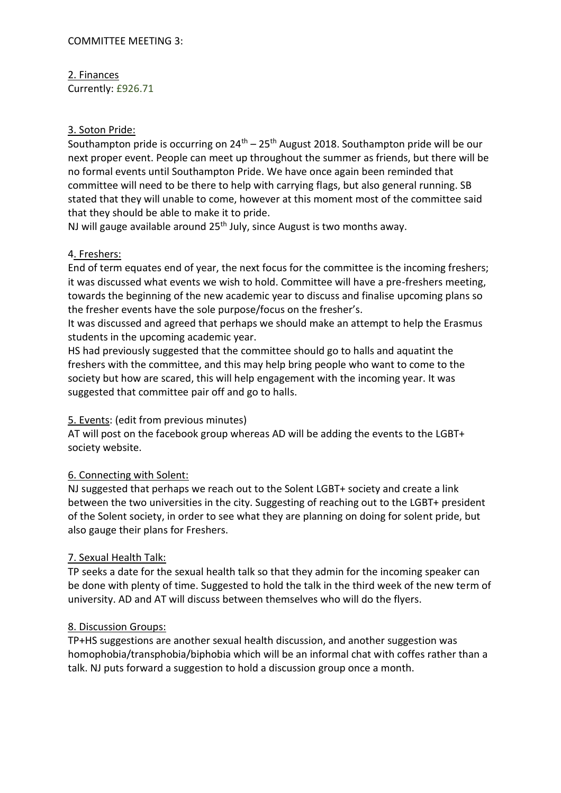# 2. Finances

Currently: £926.71

# 3. Soton Pride:

Southampton pride is occurring on  $24<sup>th</sup> - 25<sup>th</sup>$  August 2018. Southampton pride will be our next proper event. People can meet up throughout the summer as friends, but there will be no formal events until Southampton Pride. We have once again been reminded that committee will need to be there to help with carrying flags, but also general running. SB stated that they will unable to come, however at this moment most of the committee said that they should be able to make it to pride.

NJ will gauge available around 25<sup>th</sup> July, since August is two months away.

# 4. Freshers:

End of term equates end of year, the next focus for the committee is the incoming freshers; it was discussed what events we wish to hold. Committee will have a pre-freshers meeting, towards the beginning of the new academic year to discuss and finalise upcoming plans so the fresher events have the sole purpose/focus on the fresher's.

It was discussed and agreed that perhaps we should make an attempt to help the Erasmus students in the upcoming academic year.

HS had previously suggested that the committee should go to halls and aquatint the freshers with the committee, and this may help bring people who want to come to the society but how are scared, this will help engagement with the incoming year. It was suggested that committee pair off and go to halls.

## 5. Events: (edit from previous minutes)

AT will post on the facebook group whereas AD will be adding the events to the LGBT+ society website.

# 6. Connecting with Solent:

NJ suggested that perhaps we reach out to the Solent LGBT+ society and create a link between the two universities in the city. Suggesting of reaching out to the LGBT+ president of the Solent society, in order to see what they are planning on doing for solent pride, but also gauge their plans for Freshers.

# 7. Sexual Health Talk:

TP seeks a date for the sexual health talk so that they admin for the incoming speaker can be done with plenty of time. Suggested to hold the talk in the third week of the new term of university. AD and AT will discuss between themselves who will do the flyers.

## 8. Discussion Groups:

TP+HS suggestions are another sexual health discussion, and another suggestion was homophobia/transphobia/biphobia which will be an informal chat with coffes rather than a talk. NJ puts forward a suggestion to hold a discussion group once a month.